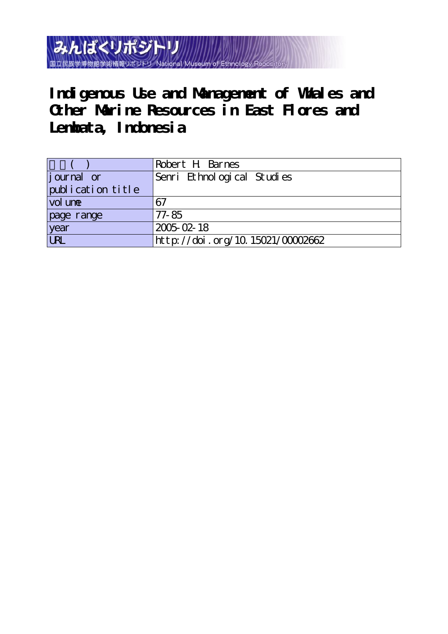みんぱくリポジトリ 国立民族学博物館学術情報リポジトリ National Museum

Indigenous Use and Management of Whales and **Other Marine Resources in East Flores and Lembata, Indonesia**

|                   | Robert H Barnes                  |
|-------------------|----------------------------------|
| journal or        | Senri Ethnological Studies       |
| publication title |                                  |
| vol une           | 67                               |
| page range        | 77-85                            |
| year<br>URL       | $2005 - 02 - 18$                 |
|                   | http://doi.org/10.15021/00002662 |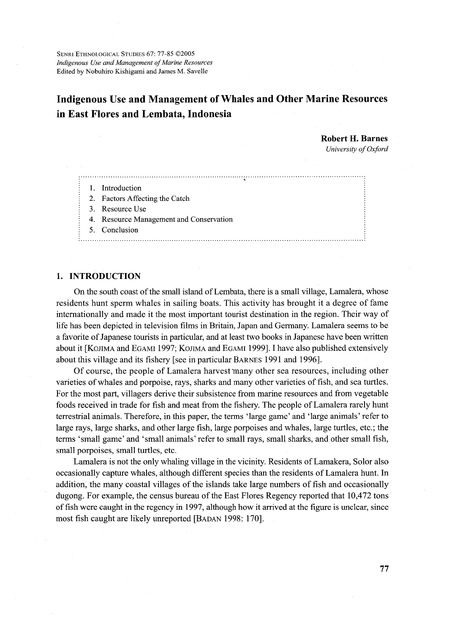SENRI ETHNOLOGICAL STUDIES 67: 77-85 @2005 Indigenous Use and Management of Marine Resources Edited by Nobuhiro Kishigami and James M. Savelle

# **Indigenous Use and Management of Whales and Other Marine Resources** in East Flores and Lembata, Indonesia

**Robert H. Barnes** University of Oxford

## 1. Introduction

2. Factors Affecting the Catch

3. Resource Use

4. Resource Management and Conservation

5. Conclusion

#### 

## 1. INTRODUCTION

On the south coast of the small island of Lembata, there is a small village, Lamalera, whose residents hunt sperm whales in sailing boats. This activity has brought it a degree of fame internationally and made it the most important tourist destination in the region. Their way of life has been depicted in television films in Britain, Japan and Germany. Lamalera seems to be a favorite of Japanese tourists in particular, and at least two books in Japanese have been written about it [KOJIMA and EGAMI 1997; KOJIMA and EGAMI 1999]. I have also published extensively about this village and its fishery [see in particular BARNES 1991 and 1996].

Of course, the people of Lamalera harvest many other sea resources, including other varieties of whales and porpoise, rays, sharks and many other varieties of fish, and sea turtles. For the most part, villagers derive their subsistence from marine resources and from vegetable foods received in trade for fish and meat from the fishery. The people of Lamalera rarely hunt terrestrial animals. Therefore, in this paper, the terms 'large game' and 'large animals' refer to large rays, large sharks, and other large fish, large porpoises and whales, large turtles, etc.; the terms 'small game' and 'small animals' refer to small rays, small sharks, and other small fish, small porpoises, small turtles, etc.

Lamalera is not the only whaling village in the vicinity. Residents of Lamakera, Solor also occasionally capture whales, although different species than the residents of Lamalera hunt. In addition, the many coastal villages of the islands take large numbers of fish and occasionally dugong. For example, the census bureau of the East Flores Regency reported that 10,472 tons of fish were caught in the regency in 1997, although how it arrived at the figure is unclear, since most fish caught are likely unreported [BADAN 1998: 170].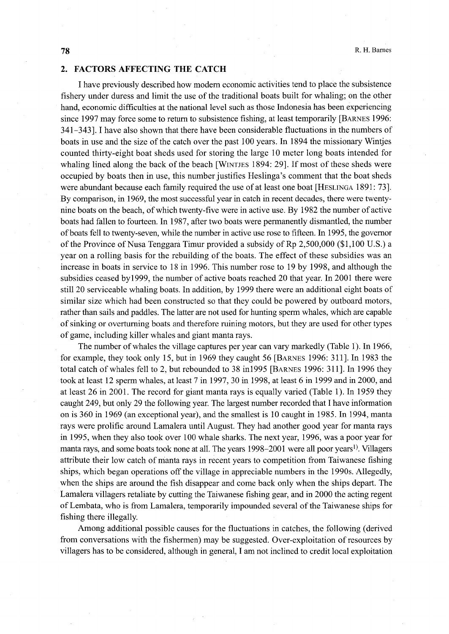### 2. FACTORS AFFECTING THE CATCH

 I have previously described how modern economic activities tend to place the subsistence fishery under duress and limit the use of the traditional boats built for whaling; on the other hand, economic difficulties at the national level such as those Indonesia has been experiencing since 1997 may force some to return to subsistence fishing, at least temporarily [BARNES 1996: 341-343]. I have also shown that there have been considerable fluctuations in the numbers of boats in use and the size of the catch over the past 1OO years. In 1894 the missionary Winljes counted thirty-eight boat sheds used for storing the large 10 meter long boats intended for whaling lined along the back of the beach [WiNTJEs 1894: 29]. If most of these sheds were occupied by boats then in use, this number justifies Heslinga's comment that the boat sheds were abundant because each family required the use of at least one boat [HEsLiNGA l891: 73]. By comparison, in 1969, the most successfu1 year in catch in recent decades, there were twentynine boats on the beach, of which twenty-five were in active use. By 1982 the number of active boats had fallen to fourteen. In 1987, after two boats were permanently dismantled, the number ofboats fell to twenty-seven, while the number in active use rose to fifteen. In 1995, the governor of the Province of Nusa Tenggara Timur provided a subsidy of Rp 2,500,000 (\$1,100 U.S.) a year on a rolling basis for the rebuilding of the boats. The effect of these subsidies was an increase in boats in service to 18 in 1996. This number rose to 19 by 1998, and although the subsidies ceased byl999, the number of active boats reached 20 that year. In 2001 there were still 20 serviceable whaling boats. In addition, by 1999 there were an additional eight boats of similar size which had been constructed so that they could be powered by outboard motors, rather than sails and paddles. The latter are not used for hunting sperm whales, which are capable of sinking or overturning boats and therefore ruining motors, but they are used for other types of game, including killer whales and giant manta rays.

The number of whales the village captures per year can vary markedly (Table 1). In 1966, for example, they took only 15, but in 1969 they caught 56 [BARNES 1996: 311]. In 1983 the total catch of whales fell to 2, but rebounded to 38 in1995 [BARNES 1996: 311]. In 1996 they took at least 12 sperm whales, at least 7 in 1997, 30 in 1998, at least 6 in l999 and in 2000, and at least  $26$  in  $2001$ . The record for giant manta rays is equally varied (Table 1). In 1959 they caught 249, but only 29 the following year. The largest number recorded that I have information on is 360 in 1969 (an exceptional year), and the smallest is 1O caught in 1985. In 1994, manta rays were prolific around Lamalera until August. They had another good year for manta rays in 1995, when they also took over 100 whale sharks. The next year, 1996, was a poor year for manta rays, and some boats took none at all. The years 1998–2001 were all poor years<sup>1</sup>). Villagers attribute their low catch of manta rays in recent years to competition from 'faiwanese fishing ships, which began operations off the village in appreciable numbers in the 1990s. Allegedly, when the ships are around the fish disappear and come back only when the ships depart. The Lamalera villagers retaliate by cutting the faiwanese fishing gear, and in 2000 the acting regent ofLembata, who is from Lamalera, temporarily impounded several of the 'faiwanese ships for fishing there illegally.

Among additional possible causes for the fluctuations in catches, the following (derived from conversations with the fishermen) may be suggested. Over-exploitation of resources by villagers has to be considered, although in general, I am not inclined to credit local exploitation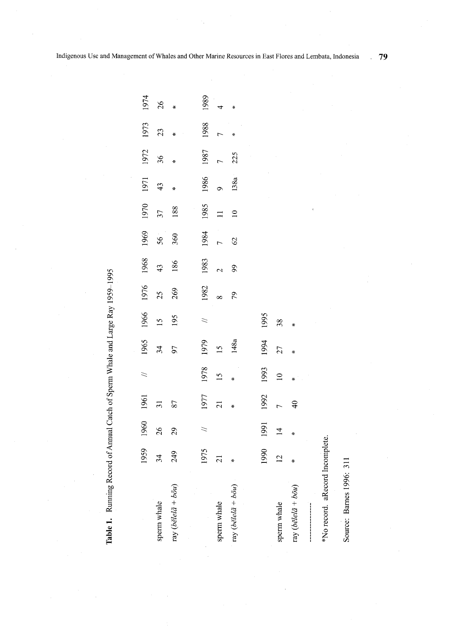| 0.704<br>11,1<br>$rac{1}{2}$ |  |
|------------------------------|--|
| $\ddot{\phantom{a}}$<br>ļ    |  |
|                              |  |
| i                            |  |
|                              |  |
|                              |  |

|                                          | 1959            | 1960           | 1961            | $\geq$          | 1965                     | 1966            | 1976 | 1968          | 1969            | 1970           | 1971 | 1972 | 1973 | 1974 |
|------------------------------------------|-----------------|----------------|-----------------|-----------------|--------------------------|-----------------|------|---------------|-----------------|----------------|------|------|------|------|
| sperm whale                              | 34              | 26             | $\overline{31}$ |                 | $\overline{\mathbf{34}}$ | $\overline{15}$ | 25   | $\frac{4}{3}$ | 56 <sup>1</sup> | 37             | 43   | 36   | 23   | 26   |
| ray (bělel $\tilde{a} + b \tilde{o} u$ ) | 249             | 29             | 87              |                 | 97                       | 195             | 269  | 186           | 360             | 188            | ×    | ∗    |      |      |
|                                          |                 |                |                 |                 |                          |                 |      |               |                 |                |      |      |      |      |
|                                          | 1975            | $\geq$         | 1977            | 1978            | 1979                     | $\geq$          | 1982 | 1983          | 1984            | 1985           | 1986 | 1987 | 1988 | 1989 |
| sperm whale                              | $\overline{21}$ |                | $\overline{21}$ | $\overline{15}$ | $\overline{15}$          |                 |      |               |                 |                |      |      |      |      |
| ray (bělelá + $b\bar{o}u$ )              | ÷               |                |                 | ¥               | 148a                     |                 | 79   | 99            | 62              | $\overline{a}$ | 138a | 225  |      |      |
|                                          |                 |                |                 |                 |                          |                 |      |               |                 |                |      |      |      |      |
|                                          | 1990            | 1991           | 1992            | 1993            | 1994                     | 1995            |      |               |                 |                |      |      |      |      |
| sperm whale                              | $\overline{C}$  | $\overline{4}$ |                 | $\supseteq$     | 27                       | 38              |      |               |                 |                |      |      |      |      |
| ray (bělel $\tilde{a} + b\tilde{o}u$ )   | ÷               |                | $\frac{4}{9}$   |                 |                          |                 |      |               |                 |                |      |      |      |      |
|                                          |                 |                |                 |                 |                          |                 |      |               |                 |                |      |      |      |      |
| *No record. aRecord Incomplete.          |                 |                |                 |                 |                          |                 |      |               |                 |                |      |      |      |      |

 $79$ 

Source: Barnes 1996: 311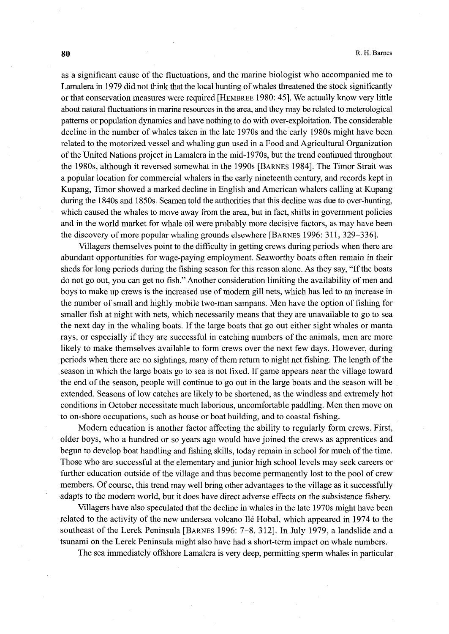as a significant cause of the fluctuations, and the marine biologist who accompanied me to Lamalera in 1979 did not think that the local hunting of whales threatened the stock significantly or that conservation measures were required [HEMBREE 1980: 45]. We actually know very little about natural fluctuations in marine resources in the area, and they may be related to meterological patterns or population dynamics and have nothing to do with over-exploitation. The considerable decline in the number of whales taken in the late 1970s and the early 1980s might have been related to the motorized vessel and whaling gun used in a Food and Agricultural Organization ofthe United Nations project in Lamalera in the mid-1970s, but the trend continued throughout the 1980s, although it reversed somewhat in the 1990s [BARNEs 1984]. The Timor Strait was a popular location for commercial whalers in the early nineteenth century, and records kept in Kupang, Timor showed a marked decline in English and American whalers calling at Kupang during the 1840s and 1850s. Seamen told the authorities that this decline was due to over-hunting, which caused the whales to move away from the area, but in fact, shifts in govemment policies and in the world market for whale oil were probably more decisive factors, as may have been the discovery of more popular whaling grounds elsewhere [BARNES 1996: 311, 329–336].

 Villagers themselves point to the difficulty in getting crews during periods when there are abundant opportunities for wage-paying employment. Seaworthy boats often remain in their sheds for long periods during the fishing season for this reason alone. As they say, "If the boats do not go out, you can get no fish." Another consideration limiting the availability of men and boys to make up crews is the increased use of modern gill nets, which has led to an increase in the number of small and highly mobile two-man sampans. Men have the option of fishing for smaller fish at night with nets, which necessarily means that they are unavailable to go to sea the next day in the whaling boats. If the large boats that go out either sight whales or manta rays, or especially if they are successful in catching numbers of the animals, men are more likely to make themselves available to form crews over the next few days. However, during periods when there are no sightings, many of them return to night net fishing. The length of the season in which the large boats go to sea is not fixed. If game appears near the village toward the end of the season, people will continue to go out in the large boats and the season will be extended. Seasons of low catches are likely to be shortened, as the windless and extremely hot conditions in October necessitate much laborious, uncomfortable paddling. Men then move on to on-shore occupations, such as house or boat building, and to coastal fishing.

Modern education is another factor affecting the ability to regularly form crews. First, older boys, who a hundred or so years ago would have joined the crews as apprentices and begun to develop boat handling and fishing skills, today remain in school for much of the time. Those who are successful at the elementary and junior high school levels may seek careers or further education outside of the village and thus become permanently lost to the pool of crew members. Of course, this trend may well bring other advantages to the village as it successfully -adapts to the modern world, but it does have direct adverse effects on the subsistence fishery.

 Villagers have also speculated that the decline in whales in the late 1970s might have been related to the activity of the new undersea volcano Ile Hobal, which appeared in 1974 to the southeast of the Lerek Peninsula [BARNEs 1996: 7-8, 312]. In July 1979, a landslide and a tsunami on the Lerek Peninsula might also have had a short-term impact on whale numbers.

The sea immediately offshore Lamalera is very deep, permitting sperm whales in particular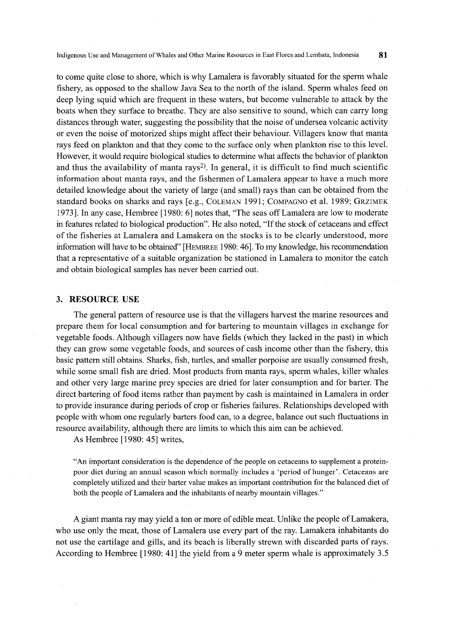Indigenous Use and Management ofWhales and Other Marine Resources in East Flores and Lembata, Indonesia 81

to come quite close to shore, which is why Lamalera is favorably situated for the sperm whale fishery, as opposed to the shallow Java Sea to the north of the island. Sperm whales feed on deep lying squid which are frequent in these waters, but become vulnerable to attack by the boats when they surface to breathe. They are also sensitive to sound, which can carry long distances through water, suggesting the possibility that the noise of undersea volcanic activity or even the noise of motorized ships might affect their behaviour. Villagers know that manta rays feed on plankton and that they come to the surface only when plankton rise to this level. However, it would require biological studies to determine what affects the behavior of plankton and thus the availability of manta rays<sup>2)</sup>. In general, it is difficult to find much scientific information about manta rays, and the fishermen of Lamalera appear to have a much more detailed knowledge about the variety of large (and small) rays than can be obtained from the standard books on sharks and rays [e.g., CoLEMAN 1991; CoMpAGNo et al. 1989; GRziMEK 1973i. In any case, Hembree [1980: 6] notes that, "The seas offLamalera are low to moderate in features related to biological production". He also noted, "If the stock of cetaceans and effect of the fisheries at Lamalera and Lamakera on the stocks is to be clearly understood, more infbmiation will have to be obtained" [HEMBREE 1980: 46]. 'Ib my knowledge, his recommendation that a representative of a suitable organization be stationed in Lamalera to monitor the catch and obtain biological samples has never been carried out.

### 3. RESOURCE USE

The general pattern of resource use is that the villagers harvest the marine resources and prepare them fbr local consumption and fbr bartering to mountain villages in exchange for vegetable foods. Although villagers now have fields (which they lacked in the past) in which they can grow some vegetable foods, and sources of cash income other than the fishery, this basic pattem still obtains. Sharks, fish, tunies, and smaller porpoise are usually consumed fresh, while some small fish are dried. Most products from manta rays, sperm whales, killer whales and other very large marine prey species are dried for later consumption and for barter. The direct bartering of food items rather than payment by cash is maintained in Lamalera in order to provide insurance during periods of crop or fisheries failures. Relationships developed with people with whom one regularly barters food can, to a degree, balance out such fiuctuations in resource availability, although there are limits to which this aim can be achieved.

As Hembree [1980: 45] writes,

"An important consideration is the dependence of the people on cetaceans to supplement a proteinpoor diet during an annual season which normally includes a `petiod of hunger'. Cetaceans are completely utilized and their barter value makes an important contribution for the balanced diet of both the people of Lamalera and the inhabitants of nearby mountain villages."

A giant manta ray may yield a ton or more of edible meat. Unlike the people of Lamakera, who use only the meat, those of Lamalera use every part of the ray. Lamakera inhabitants do not use the cartilage and gills, and its beach is liberally strewn with discarded parts of rays. According to Hembree [1980: 41] the yield from a 9 meter sperm whale is approximately 3.5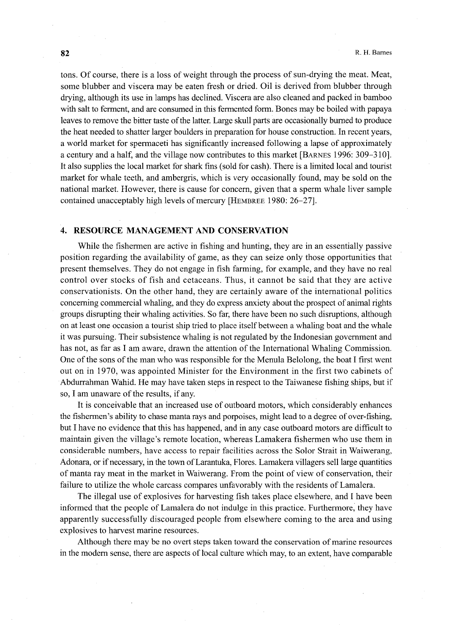tons. Of course, there is a loss of weight through the process of sun-drying the meat. Meat, some blubber and viscera may be eaten fresh or dried. Oil is derived from blubber through drying, although its use in lamps has declined. Viscera are also cleaned and packed in bamboo with salt to ferment, and are consumed in this fermented form. Bones may be boiled with papaya leaves to remove the bitter taste of the latter. Large skull parts are occasionally burned to produce the heat needed to shatter larger boulders in preparation for house construction. In recent years, a world market for spermaceti has significantly increased following a lapse of approximately a century and a half, and the village now contributes to this market [BARNES 1996: 309–310]. It also supplies the local market for shark fins (sold for cash). There is a limited local and tourist market for whale teeth, and ambergris, which is very occasionally found, may be sold on the national market. However, there is cause for concern, given that a sperm whale liver sample contained unacceptably high levels of mercury [HEMBREE 1980: 26-27].

### 4. RESOURCE MANAGEMENT AND CONSERVATION

 While the fishermen are active in fishing and hunting, they are in an essentially passive position regarding the availability of game, as they can seize only those opportunities that present themselves. They do not engage in fish farming, fbr example, and they have no real control over stocks of fish and cetaceans. Thus, it cannot be said that they are active conservationists. On the other hand, they are certainly aware of the international politics concerning commercial whaling, and they do express anxiety about the prospect of animal rights groups disrupting their whaling activities. So far, there have been no such disruptions, although on at least one occasion a tourist ship tried to place itself between a whaling boat and the whale it was pursuing. Their subsistence whaling is not regulated by the Indonesian government and has not, as far as I am aware, drawn the attention of the International Whaling Commission. One of the sons of the man who was responsible for the Menula Belolong, the boat I first went out on in 1970, was appointed Minister for the Environment in the first two cabinets of Abdurrahman Wahid. He may have taken steps in respect to the Taiwanese fishing ships, but if so, I am unaware of the results, if any.

 It is conceivable that an increased use of outboard motors, which considerably enhances the fishermen's ability to chase manta rays and porpoises, might lead to a degree of over-fishing, but I have no evidence that this has happened, and in any case outboard motors are difiicult to maintain given the village's remote location, whereas Lamakera fishermen who use them in considerable numbers, have access to repair facilities across the Solor Strait in Waiwerang, Adonara, or ifnecessary, in the town ofLarantuka, Flores. Lamakera villagers sell large quantities of manta ray meat in the market in Waiwerang. From the point of view of conservation, their failure to utilize the whole carcass compares unfavorably with the residents of Lamalera.

 The illegal use of explosives for harvesting fish takes place elsewhere, and I have been informed that the people of Lamalera do not indulge in this practice. Furthermore, they have apparently successfu11y discouraged people from elsewhere coming to the area and using explosives to harvest marine resources.

Although there may be no overt steps taken toward the conservation of marine resources in the modern sense, there are aspects of local culture which may, to an extent, have comparable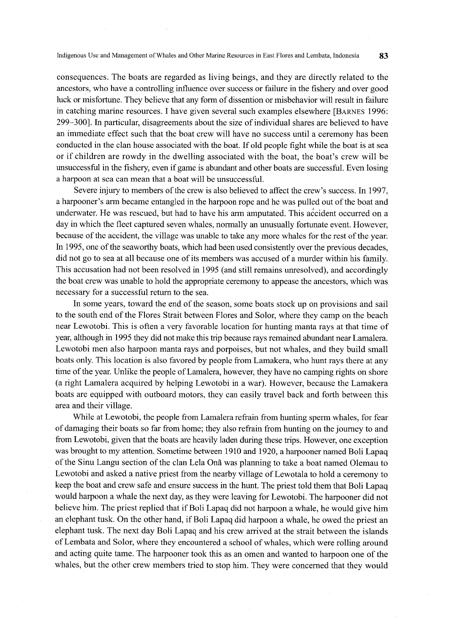Indigenous Use and Management of Whales and Other Marine Resources in East Flores and Lembata, Indonesia 83

consequences. The boats are regarded as living beings, and they are directly related to the ancestors, who have a controlling influence over success or failure in the fishery and over good luck or misfortune. They believe that any form of dissention or misbehavior will result in failure in catching marine resources. I have given severa} such examples elsewhere [BARNEs 1996: 299-300]. In particular, disagreements about the size ofindividual shares are believed to have an immediate effect such that the boat crew will have no success until a ceremony has been conducted in the clan hbuse associated with the boat. If old people fight while the boat is at sea or ifchildren are rowdy in the dwelling associated with the boat, the boat's crew will be unsuccessfu1 in the fishery} even ifgame is abundant and other boats are successful. Even losing a harpoon at sea can mean that a boat will be unsuccessfu1.

Severe injury to members of the crew is also believed to affect the crew's success. In 1997, a harpooner's arrn became entangled in the hampoon rope and he was pulled out ofthe boat and underwater. He was rescued, but had to have his arm amputated. This accident occurred on a day in which the fleet captured seven whales, normally an unusually fortunate event. However, because of the accident, the village was unable to take any more whales for the rest of the year. In 1995, one of the seaworthy boats, which had been used consistently over the previous decades, did not go to sea at all because one of its members was accused ofa murder within his family. This accusation had not been resolved in 1995 (and still remains unresolved), and accordingly the boat crew was unable to hold the appropriate ceremony to appease the ancestors, which was necessary for a successfu1 return to the sea.

 In some years, toward the end of the season, some boats stock up on provisions and sail to the south end of the Flores Strait between Flores and Solor, where they camp on the beach near Lewotobi. This is often a very favorable location for hunting manta rays at that time of year, although in 1 995 they did not make this trip because rays remained abundant near Lamalera. Lewotobi men also harpoon manta rays and porpoises, but not whales, and they build small boats only. This location is also favored by people from Lamakera, who hunt rays there at any time of the year. Unlike the people of Lamalera, however, they have no camping rights on shore (a right Lamalera acquired by helping Lewotobi in a war). However, because the Lamakera boats are equipped with outboard motors, they can easily travel back and forth between this area and their village.

While at Lewotobi, the people from Lamalera refrain from hunting sperm whales, for fear ofdamaging their boats so far from home; they also refrain from hunting on the journey to and from Lewotobi, given that the boats are heavily laden during these trips. However, one exception was brought to my attention. Sometime between 1910 and 1920, a harpooner named Boli Lapaq ofthe Sinu Langu section ofthe clan Lela Ona was planning to take a boat named Olemau to Lewotobi and asked a native priest from the nearby village of Lewotala to hold a ceremony to keep the boat and crew safe and ensure success in the hunt. The priest told them that Boli Lapaq would harpoon a whale the next day, as they were leaving for Lewotobi. The harpooner did not believe him. The priest replied that if Boli Lapaq did not harpoon a whale, he would give him an elephant tusk. On the other hand, if Boli Lapaq did harpoon a whale, he owed the priest an elephant tusk. The next day Boli Lapaq and his crew arrived at the strait between the islands of Lembata and Solor, where they encountered a school of whales, which were rolling around and acting quite tame. The harpooner took this as an omen and wanted to harpoon one of the whales, but the other crew members tried to stop him. They were concerned that they would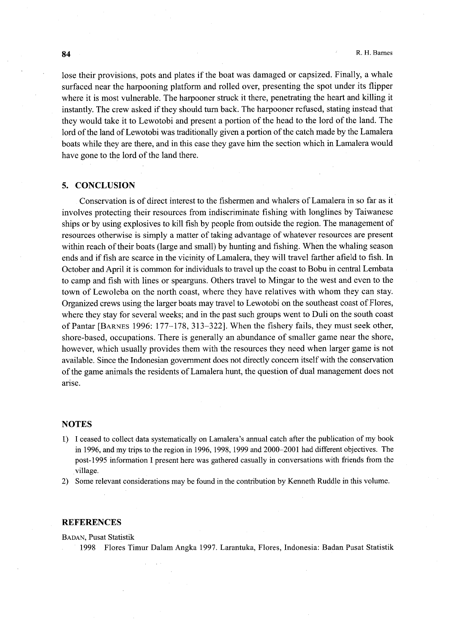lose their provisions, pots and plates if the boat was damaged or capsized. Finally, a whale surfaced near the harpooning platform and rolled over, presenting the spot under its flipper where it is most vulnerable. The harpooner struck it there, penetrating the heart and killing it instantly. The crew asked if they should turn back. The harpooner refused, stating instead that they would take it to Lewotobi and present a portion of the head to the lord of the land. The lord of the land of Lewotobi was traditionally given a portion of the catch made by the Lamalera boats while they are there, and in this case they gave him the section which in Lamalera would have gone to the lord of the land there.

## 5. CONCLUSION

Conservation is of direct interest to the fishermen and whalers of Lamalera in so far as it involves protecting their resources from indiscriminate fishing with longlines by Taiwanese ships or by using explosives to kill fish by people from outside the region. The management of resources otherwise is simply a matter of taking advantage of whatever resources are present within reach of their boats (large and small) by hunting and fishing. When the whaling season ends and if fish are scarce in the vicinity of Lamalera, they will travel farther afield to fish. In October and April it is common for individuals to travel up the coast to Bobu in central Lembata to camp and fish with lines or spearguns. Others travel to Mingar to the west and even to the town of Lewoleba on the north coast, where they have relatives with whom they can stay. Organized crews using the larger boats may travel to Lewotobi on the southeast coast ofFlores, where they stay for several weeks; and in the past such groups went to Duli on the south coast ofPantar [BARNEs 1996: l77-178, 313-322]. When the fishery fails, they must seek other, shore-based, occupations. There is generally an abundance of smaller game near the shore, however, which usually provides them with the resources they need when larger game is not availahle. Since the Indonesian government does not directly concern itselfwith the conservation ofthe game animals the residents ofLamalera hunt, the question of dual management does not arise.

### **NOTES**

- l) I ceased to collect data systematically on Lamalera's annual catch after the publication of my book in 1996, and my trips to the region in 1996, 1998, 1999 and 2000-2001 had different objectives. The post-1995 information I present here was gathered casually in conversations with friends from the .village.
- 2) Some relevant considerations may be found in the contribution by Kenneth Ruddle in this volume.

#### **REFERENCES**

BADAN, Pusat Statistik

1998 Flores Timur Dalam Angka 1997. Larantuka, Flores, Indonesia: Badan Pusat Statistik